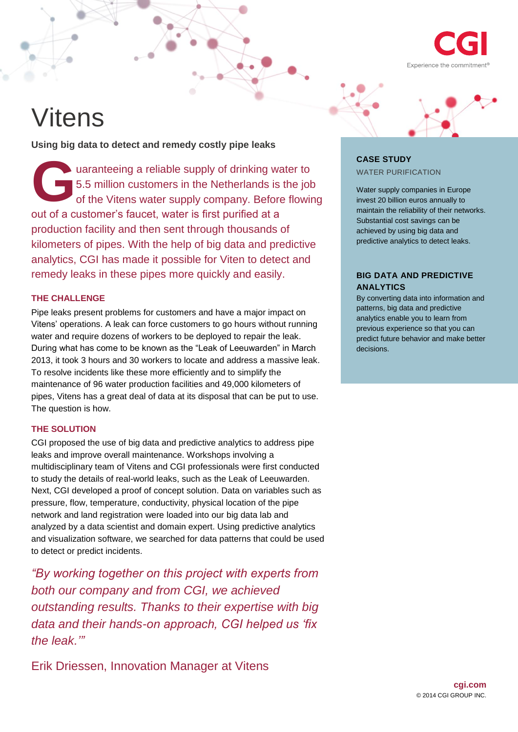

# Vitens

**Using big data to detect and remedy costly pipe leaks**

uaranteeing a reliable supply of drinking water to 5.5 million customers in the Netherlands is the job of the Vitens water supply company. Before flowing out of a customer's faucet, water is first purified at a production facility and then sent through thousands of kilometers of pipes. With the help of big data and predictive analytics, CGI has made it possible for Viten to detect and remedy leaks in these pipes more quickly and easily. **G**

### **THE CHALLENGE**

Pipe leaks present problems for customers and have a major impact on Vitens' operations. A leak can force customers to go hours without running water and require dozens of workers to be deployed to repair the leak. During what has come to be known as the "Leak of Leeuwarden" in March 2013, it took 3 hours and 30 workers to locate and address a massive leak. To resolve incidents like these more efficiently and to simplify the maintenance of 96 water production facilities and 49,000 kilometers of pipes, Vitens has a great deal of data at its disposal that can be put to use. The question is how.

# **THE SOLUTION**

CGI proposed the use of big data and predictive analytics to address pipe leaks and improve overall maintenance. Workshops involving a multidisciplinary team of Vitens and CGI professionals were first conducted to study the details of real-world leaks, such as the Leak of Leeuwarden. Next, CGI developed a proof of concept solution. Data on variables such as pressure, flow, temperature, conductivity, physical location of the pipe network and land registration were loaded into our big data lab and analyzed by a data scientist and domain expert. Using predictive analytics and visualization software, we searched for data patterns that could be used to detect or predict incidents.

*"By working together on this project with experts from both our company and from CGI, we achieved outstanding results. Thanks to their expertise with big data and their hands-on approach, CGI helped us 'fix the leak.'"*

[Erik Driessen, Innovation Manager at Vitens](https://www.linkedin.com/in/erikdriessen)



# **CASE STUDY** WATER PURIFICATION

Water supply companies in Europe invest 20 billion euros annually to maintain the reliability of their networks. Substantial cost savings can be achieved by using big data and predictive analytics to detect leaks.

## **BIG DATA AND PREDICTIVE ANALYTICS**

By converting data into information and patterns, big data and predictive analytics enable you to learn from previous experience so that you can predict future behavior and make better decisions.